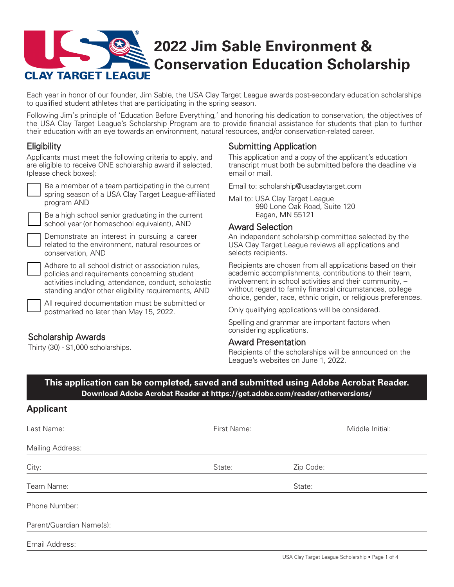

Each year in honor of our founder, Jim Sable, the USA Clay Target League awards post-secondary education scholarships to qualified student athletes that are participating in the spring season.

Following Jim's principle of 'Education Before Everything,' and honoring his dedication to conservation, the objectives of the USA Clay Target League's Scholarship Program are to provide financial assistance for students that plan to further their education with an eye towards an environment, natural resources, and/or conservation-related career.

# **Eligibility**

Applicants must meet the following criteria to apply, and are eligible to receive ONE scholarship award if selected. (please check boxes):

| $\overline{\phantom{a}}$ Be a member of a team participating in the current<br>spring season of a USA Clay Target League-affiliated |
|-------------------------------------------------------------------------------------------------------------------------------------|
| program AND                                                                                                                         |

Be a high school senior graduating in the current school year (or homeschool equivalent), AND

Demonstrate an interest in pursuing a career related to the environment, natural resources or conservation, AND

Adhere to all school district or association rules, policies and requirements concerning student activities including, attendance, conduct, scholastic standing and/or other eligibility requirements, AND

All required documentation must be submitted or postmarked no later than May 15, 2022.

# Scholarship Awards

Thirty (30) - \$1,000 scholarships.

## Submitting Application

This application and a copy of the applicant's education transcript must both be submitted before the deadline via email or mail.

Email to: [scholarship@usaclaytarget.com](mailto:scholarship%40usaclaytarget.com?subject=USA%20Scholarship%20Application)

Mail to: USA Clay Target League 990 Lone Oak Road, Suite 120 Eagan, MN 55121

### Award Selection

An independent scholarship committee selected by the USA Clay Target League reviews all applications and selects recipients.

Recipients are chosen from all applications based on their academic accomplishments, contributions to their team, involvement in school activities and their community, – without regard to family financial circumstances, college choice, gender, race, ethnic origin, or religious preferences.

Only qualifying applications will be considered.

Spelling and grammar are important factors when considering applications.

#### Award Presentation

Recipients of the scholarships will be announced on the League's websites on June 1, 2022.

### **[This application can be completed, saved and submitted using Adobe Acrobat Reader.](https://get.adobe.com/reader/)  Download Adobe Acrobat Reader at <https://get.adobe.com/reader/otherversions/>**

### **Applicant**

| Last Name:               | First Name: | Middle Initial: |
|--------------------------|-------------|-----------------|
| <b>Mailing Address:</b>  |             |                 |
| City:                    | State:      | Zip Code:       |
| Team Name:               |             | State:          |
| Phone Number:            |             |                 |
| Parent/Guardian Name(s): |             |                 |
| Email Address:           |             |                 |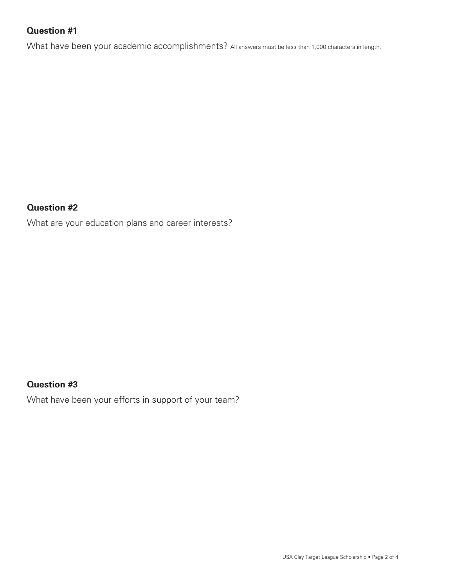# **Question #1**

What have been your academic accomplishments? All answers must be less than 1,000 characters in length.

### **Question #2**

What are your education plans and career interests?

# **Question #3**

What have been your efforts in support of your team?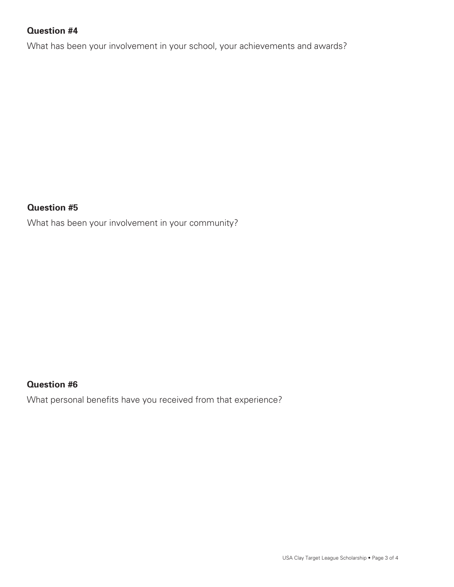# **Question #4**

What has been your involvement in your school, your achievements and awards?

### **Question #5**

What has been your involvement in your community?

# **Question #6**

What personal benefits have you received from that experience?